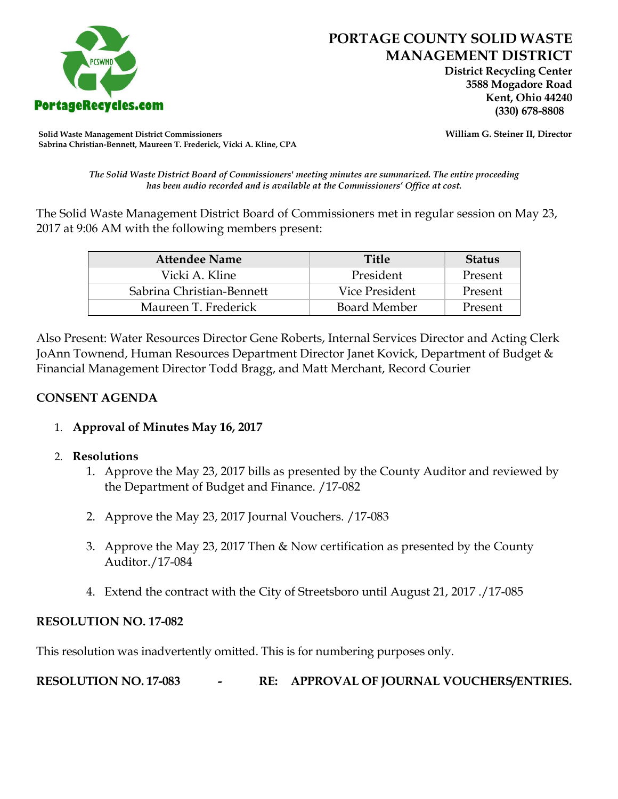

 **District Recycling Center 3588 Mogadore Road Kent, Ohio 44240**

**Solid Waste Management District Commissioners William G. Steiner II, Director Sabrina Christian-Bennett, Maureen T. Frederick, Vicki A. Kline, CPA**

*The Solid Waste District Board of Commissioners' meeting minutes are summarized. The entire proceeding has been audio recorded and is available at the Commissioners' Office at cost.*

The Solid Waste Management District Board of Commissioners met in regular session on May 23, 2017 at 9:06 AM with the following members present:

| <b>Attendee Name</b>      | <b>Title</b>   | <b>Status</b> |
|---------------------------|----------------|---------------|
| Vicki A. Kline            | President      | Present       |
| Sabrina Christian-Bennett | Vice President | Present       |
| Maureen T. Frederick      | Board Member   | Present       |

Also Present: Water Resources Director Gene Roberts, Internal Services Director and Acting Clerk JoAnn Townend, Human Resources Department Director Janet Kovick, Department of Budget & Financial Management Director Todd Bragg, and Matt Merchant, Record Courier

## **CONSENT AGENDA**

1. **Approval of Minutes May 16, 2017**

## 2. **Resolutions**

- 1. Approve the May 23, 2017 bills as presented by the County Auditor and reviewed by the Department of Budget and Finance. /17-082
- 2. Approve the May 23, 2017 Journal Vouchers. /17-083
- 3. Approve the May 23, 2017 Then & Now certification as presented by the County Auditor./17-084
- 4. Extend the contract with the City of Streetsboro until August 21, 2017 ./17-085

## **RESOLUTION NO. 17-082**

This resolution was inadvertently omitted. This is for numbering purposes only.

**RESOLUTION NO. 17-083 - RE: APPROVAL OF JOURNAL VOUCHERS/ENTRIES.**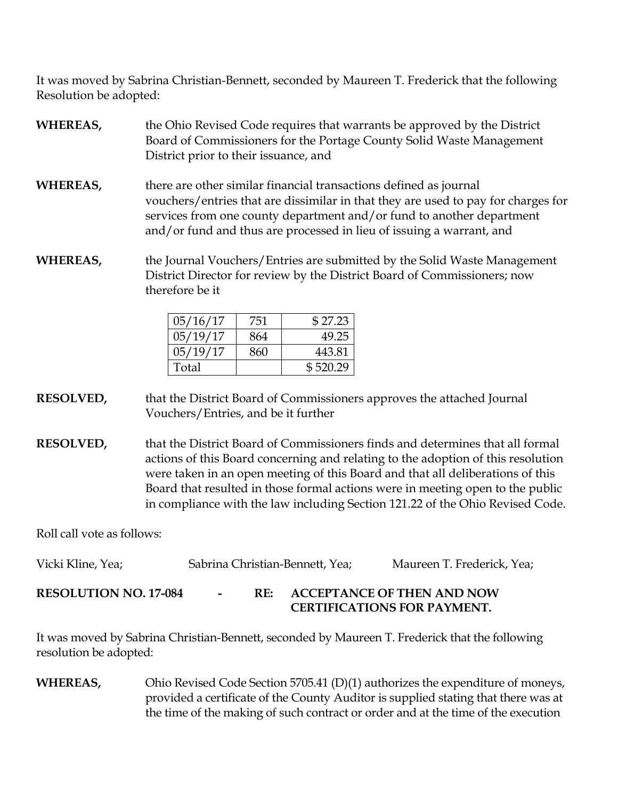It was moved by Sabrina Christian-Bennett, seconded by Maureen T. Frederick that the following Resolution be adopted:

- **WHEREAS,** the Ohio Revised Code requires that warrants be approved by the District Board of Commissioners for the Portage County Solid Waste Management District prior to their issuance, and
- **WHEREAS,** there are other similar financial transactions defined as journal vouchers/entries that are dissimilar in that they are used to pay for charges for services from one county department and/or fund to another department and/or fund and thus are processed in lieu of issuing a warrant, and
- **WHEREAS,** the Journal Vouchers/Entries are submitted by the Solid Waste Management District Director for review by the District Board of Commissioners; now therefore be it

| 05/16/17 | 751 | \$27.23  |
|----------|-----|----------|
| 05/19/17 | 864 | 49.25    |
| 05/19/17 | 860 | 443.81   |
| Total    |     | \$520.29 |

**RESOLVED,** that the District Board of Commissioners approves the attached Journal Vouchers/Entries, and be it further

**RESOLVED,** that the District Board of Commissioners finds and determines that all formal actions of this Board concerning and relating to the adoption of this resolution were taken in an open meeting of this Board and that all deliberations of this Board that resulted in those formal actions were in meeting open to the public in compliance with the law including Section 121.22 of the Ohio Revised Code.

Roll call vote as follows:

| Vicki Kline, Yea;            |        |     | Sabrina Christian-Bennett, Yea;                                         | Maureen T. Frederick, Yea; |
|------------------------------|--------|-----|-------------------------------------------------------------------------|----------------------------|
| <b>RESOLUTION NO. 17-084</b> | $\sim$ | RE: | <b>ACCEPTANCE OF THEN AND NOW</b><br><b>CERTIFICATIONS FOR PAYMENT.</b> |                            |

It was moved by Sabrina Christian-Bennett, seconded by Maureen T. Frederick that the following resolution be adopted:

**WHEREAS,** Ohio Revised Code Section 5705.41 (D)(1) authorizes the expenditure of moneys, provided a certificate of the County Auditor is supplied stating that there was at the time of the making of such contract or order and at the time of the execution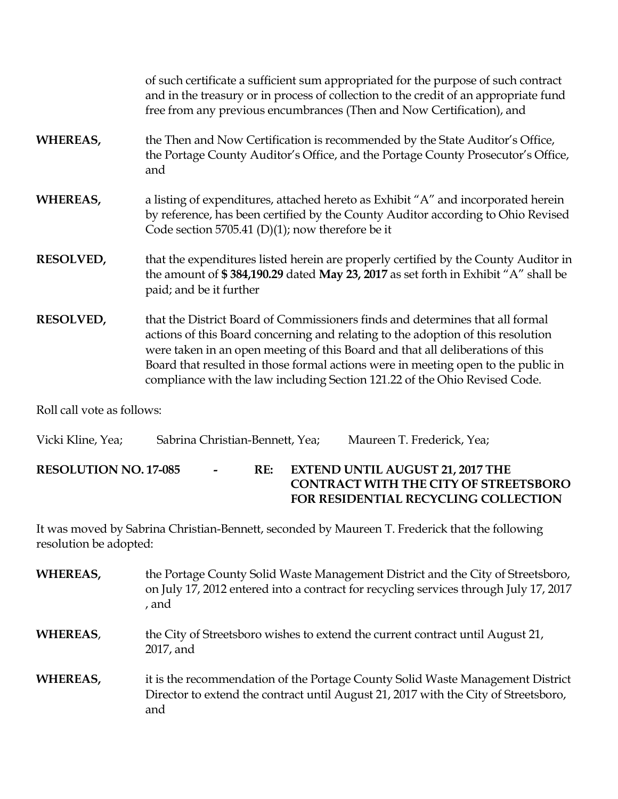|                  | of such certificate a sufficient sum appropriated for the purpose of such contract<br>and in the treasury or in process of collection to the credit of an appropriate fund<br>free from any previous encumbrances (Then and Now Certification), and                                                                                                                                                                    |
|------------------|------------------------------------------------------------------------------------------------------------------------------------------------------------------------------------------------------------------------------------------------------------------------------------------------------------------------------------------------------------------------------------------------------------------------|
| <b>WHEREAS,</b>  | the Then and Now Certification is recommended by the State Auditor's Office,<br>the Portage County Auditor's Office, and the Portage County Prosecutor's Office,<br>and                                                                                                                                                                                                                                                |
| <b>WHEREAS,</b>  | a listing of expenditures, attached hereto as Exhibit "A" and incorporated herein<br>by reference, has been certified by the County Auditor according to Ohio Revised<br>Code section 5705.41 (D)(1); now therefore be it                                                                                                                                                                                              |
| <b>RESOLVED,</b> | that the expenditures listed herein are properly certified by the County Auditor in<br>the amount of \$384,190.29 dated May 23, 2017 as set forth in Exhibit "A" shall be<br>paid; and be it further                                                                                                                                                                                                                   |
| <b>RESOLVED,</b> | that the District Board of Commissioners finds and determines that all formal<br>actions of this Board concerning and relating to the adoption of this resolution<br>were taken in an open meeting of this Board and that all deliberations of this<br>Board that resulted in those formal actions were in meeting open to the public in<br>compliance with the law including Section 121.22 of the Ohio Revised Code. |
|                  |                                                                                                                                                                                                                                                                                                                                                                                                                        |

Roll call vote as follows:

| Vicki Kline, Yea;            | Sabrina Christian-Bennett, Yea; |                |     |  | Maureen T. Frederick, Yea;              |                                                                                             |
|------------------------------|---------------------------------|----------------|-----|--|-----------------------------------------|---------------------------------------------------------------------------------------------|
| <b>RESOLUTION NO. 17-085</b> |                                 | $\blacksquare$ | RE: |  | <b>EXTEND UNTIL AUGUST 21, 2017 THE</b> | <b>CONTRACT WITH THE CITY OF STREETSBORO</b><br><b>FOR RESIDENTIAL RECYCLING COLLECTION</b> |

It was moved by Sabrina Christian-Bennett, seconded by Maureen T. Frederick that the following resolution be adopted:

| WHEREAS, | the Portage County Solid Waste Management District and the City of Streetsboro,<br>on July 17, 2012 entered into a contract for recycling services through July 17, 2017<br>, and |
|----------|-----------------------------------------------------------------------------------------------------------------------------------------------------------------------------------|
| WHEREAS, | the City of Streetsboro wishes to extend the current contract until August 21,<br>2017, and                                                                                       |
| WHEREAS, | it is the recommendation of the Portage County Solid Waste Management District<br>Director to extend the contract until August 21, 2017 with the City of Streetsboro,<br>and      |